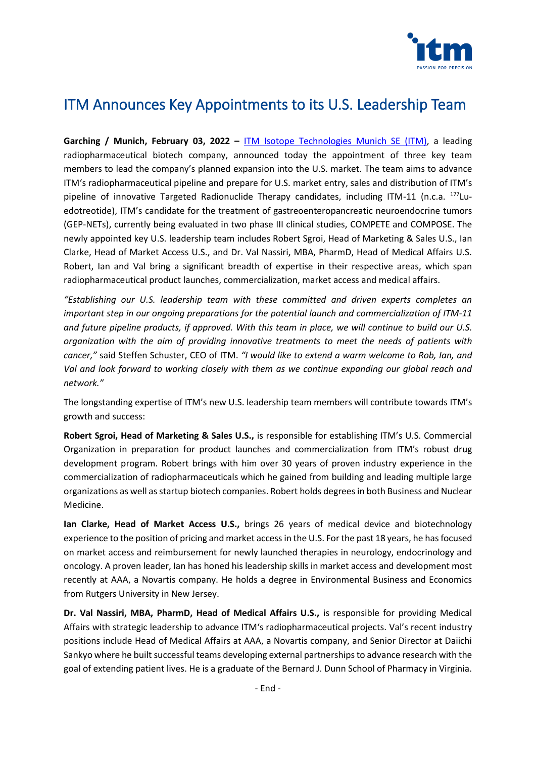

# ITM Announces Key Appointments to its U.S. Leadership Team

**Garching / Munich, February 03, 2022 –** [ITM Isotope Technologies Munich SE](https://itm-radiopharma.com/home) (ITM), a leading radiopharmaceutical biotech company, announced today the appointment of three key team members to lead the company's planned expansion into the U.S. market. The team aims to advance ITM's radiopharmaceutical pipeline and prepare for U.S. market entry, sales and distribution of ITM's pipeline of innovative Targeted Radionuclide Therapy candidates, including ITM-11 (n.c.a.  $^{177}$ Luedotreotide), ITM's candidate for the treatment of gastreoenteropancreatic neuroendocrine tumors (GEP-NETs), currently being evaluated in two phase III clinical studies, COMPETE and COMPOSE. The newly appointed key U.S. leadership team includes Robert Sgroi, Head of Marketing & Sales U.S., Ian Clarke, Head of Market Access U.S., and Dr. Val Nassiri, MBA, PharmD, Head of Medical Affairs U.S. Robert, Ian and Val bring a significant breadth of expertise in their respective areas, which span radiopharmaceutical product launches, commercialization, market access and medical affairs.

*"Establishing our U.S. leadership team with these committed and driven experts completes an important step in our ongoing preparations for the potential launch and commercialization of ITM-11 and future pipeline products, if approved. With this team in place, we will continue to build our U.S. organization with the aim of providing innovative treatments to meet the needs of patients with cancer,"* said Steffen Schuster, CEO of ITM. *"I would like to extend a warm welcome to Rob, Ian, and Val and look forward to working closely with them as we continue expanding our global reach and network."*

The longstanding expertise of ITM's new U.S. leadership team members will contribute towards ITM's growth and success:

**Robert Sgroi, Head of Marketing & Sales U.S.,** is responsible for establishing ITM's U.S. Commercial Organization in preparation for product launches and commercialization from ITM's robust drug development program. Robert brings with him over 30 years of proven industry experience in the commercialization of radiopharmaceuticals which he gained from building and leading multiple large organizations as well as startup biotech companies. Robert holds degrees in both Business and Nuclear Medicine.

**Ian Clarke, Head of Market Access U.S.,** brings 26 years of medical device and biotechnology experience to the position of pricing and market access in the U.S. For the past 18 years, he has focused on market access and reimbursement for newly launched therapies in neurology, endocrinology and oncology. A proven leader, Ian has honed his leadership skills in market access and development most recently at AAA, a Novartis company. He holds a degree in Environmental Business and Economics from Rutgers University in New Jersey.

**Dr. Val Nassiri, MBA, PharmD, Head of Medical Affairs U.S.,** is responsible for providing Medical Affairs with strategic leadership to advance ITM's radiopharmaceutical projects. Val's recent industry positions include Head of Medical Affairs at AAA, a Novartis company, and Senior Director at Daiichi Sankyo where he built successful teams developing external partnerships to advance research with the goal of extending patient lives. He is a graduate of the Bernard J. Dunn School of Pharmacy in Virginia.